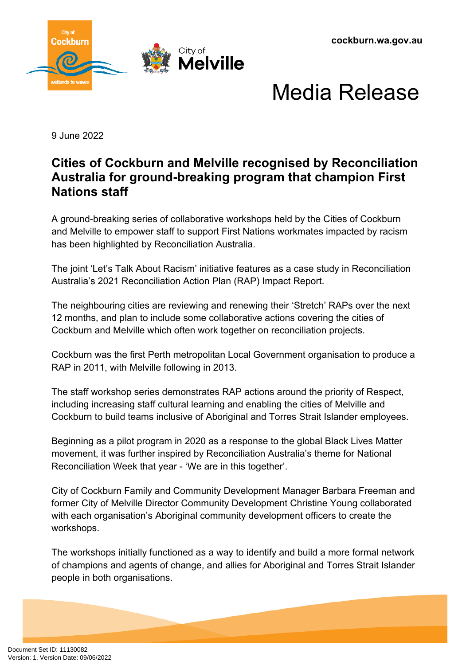

## Media Release

9 June 2022

## **Cities of Cockburn and Melville recognised by Reconciliation Australia for ground-breaking program that champion First Nations staff**

A ground-breaking series of collaborative workshops held by the Cities of Cockburn and Melville to empower staff to support First Nations workmates impacted by racism has been highlighted by Reconciliation Australia.

The joint 'Let's Talk About Racism' initiative features as a case study in Reconciliation Australia's 2021 Reconciliation Action Plan (RAP) Impact Report.

The neighbouring cities are reviewing and renewing their 'Stretch' RAPs over the next 12 months, and plan to include some collaborative actions covering the cities of Cockburn and Melville which often work together on reconciliation projects.

Cockburn was the first Perth metropolitan Local Government organisation to produce a RAP in 2011, with Melville following in 2013.

The staff workshop series demonstrates RAP actions around the priority of Respect, including increasing staff cultural learning and enabling the cities of Melville and Cockburn to build teams inclusive of Aboriginal and Torres Strait Islander employees.

Beginning as a pilot program in 2020 as a response to the global Black Lives Matter movement, it was further inspired by Reconciliation Australia's theme for National Reconciliation Week that year - 'We are in this together'.

City of Cockburn Family and Community Development Manager Barbara Freeman and former City of Melville Director Community Development Christine Young collaborated with each organisation's Aboriginal community development officers to create the workshops.

The workshops initially functioned as a way to identify and build a more formal network of champions and agents of change, and allies for Aboriginal and Torres Strait Islander people in both organisations.

Document Set ID: 11130082<br>Version: 1, Version Date: 09/06/2022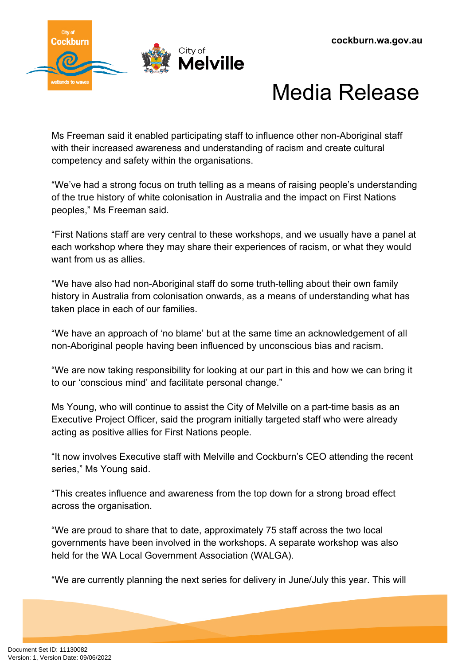

## Media Release

Ms Freeman said it enabled participating staff to influence other non-Aboriginal staff with their increased awareness and understanding of racism and create cultural competency and safety within the organisations.

"We've had a strong focus on truth telling as a means of raising people's understanding of the true history of white colonisation in Australia and the impact on First Nations peoples," Ms Freeman said.

"First Nations staff are very central to these workshops, and we usually have a panel at each workshop where they may share their experiences of racism, or what they would want from us as allies.

"We have also had non-Aboriginal staff do some truth-telling about their own family history in Australia from colonisation onwards, as a means of understanding what has taken place in each of our families.

"We have an approach of 'no blame' but at the same time an acknowledgement of all non-Aboriginal people having been influenced by unconscious bias and racism.

"We are now taking responsibility for looking at our part in this and how we can bring it to our 'conscious mind' and facilitate personal change."

Ms Young, who will continue to assist the City of Melville on a part-time basis as an Executive Project Officer, said the program initially targeted staff who were already acting as positive allies for First Nations people.

"It now involves Executive staff with Melville and Cockburn's CEO attending the recent series," Ms Young said.

"This creates influence and awareness from the top down for a strong broad effect across the organisation.

"We are proud to share that to date, approximately 75 staff across the two local governments have been involved in the workshops. A separate workshop was also held for the WA Local Government Association (WALGA).

"We are currently planning the next series for delivery in June/July this year. This will